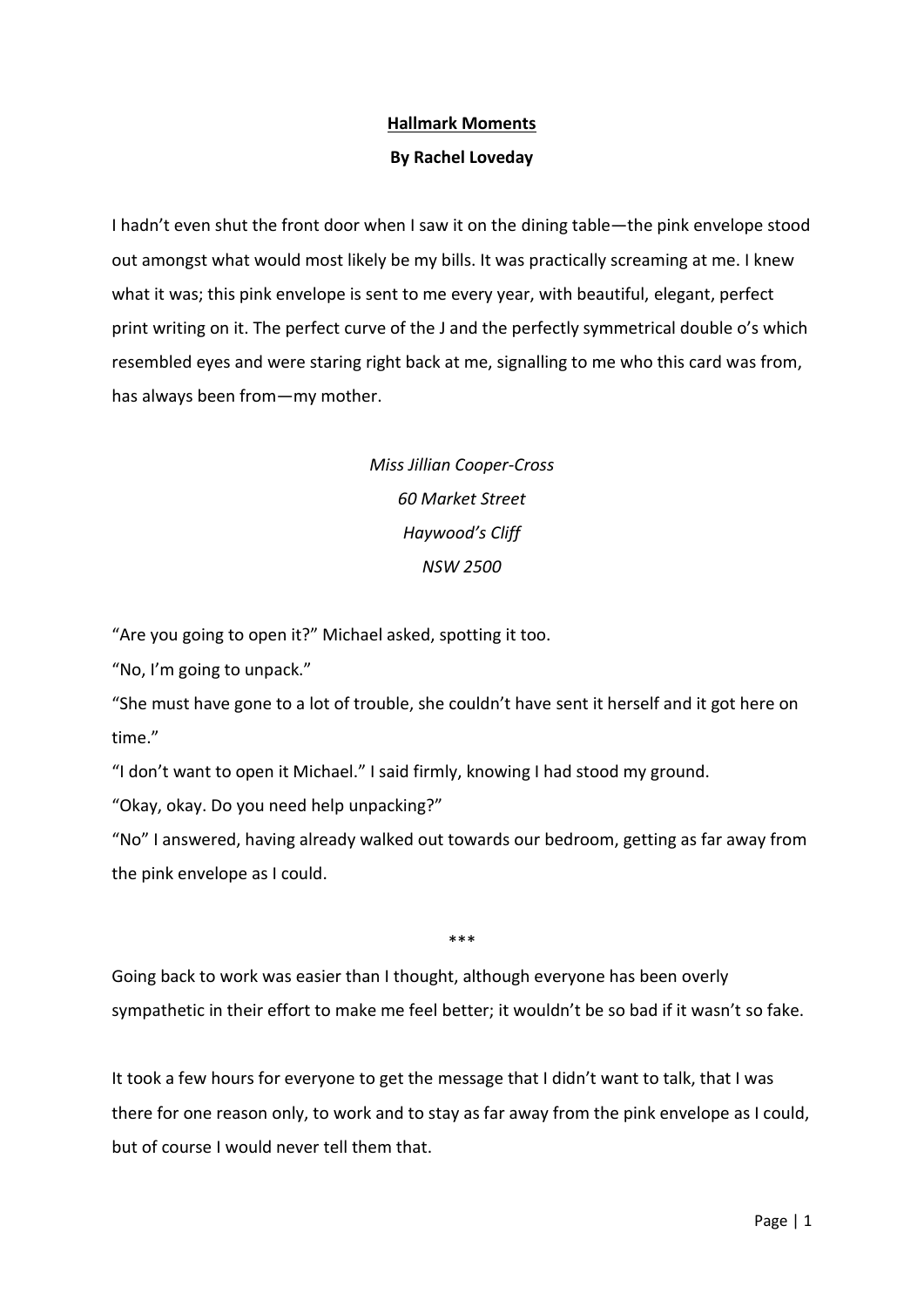## **Hallmark Moments**

## **By Rachel Loveday**

I hadn't even shut the front door when I saw it on the dining table—the pink envelope stood out amongst what would most likely be my bills. It was practically screaming at me. I knew what it was; this pink envelope is sent to me every year, with beautiful, elegant, perfect print writing on it. The perfect curve of the J and the perfectly symmetrical double o's which resembled eyes and were staring right back at me, signalling to me who this card was from, has always been from—my mother.

> *Miss Jillian Cooper-Cross 60 Market Street Haywood's Cliff NSW 2500*

"Are you going to open it?" Michael asked, spotting it too.

"No, I'm going to unpack."

"She must have gone to a lot of trouble, she couldn't have sent it herself and it got here on time."

"I don't want to open it Michael." I said firmly, knowing I had stood my ground.

"Okay, okay. Do you need help unpacking?"

"No" I answered, having already walked out towards our bedroom, getting as far away from the pink envelope as I could.

### \*\*\*

Going back to work was easier than I thought, although everyone has been overly sympathetic in their effort to make me feel better; it wouldn't be so bad if it wasn't so fake.

It took a few hours for everyone to get the message that I didn't want to talk, that I was there for one reason only, to work and to stay as far away from the pink envelope as I could, but of course I would never tell them that.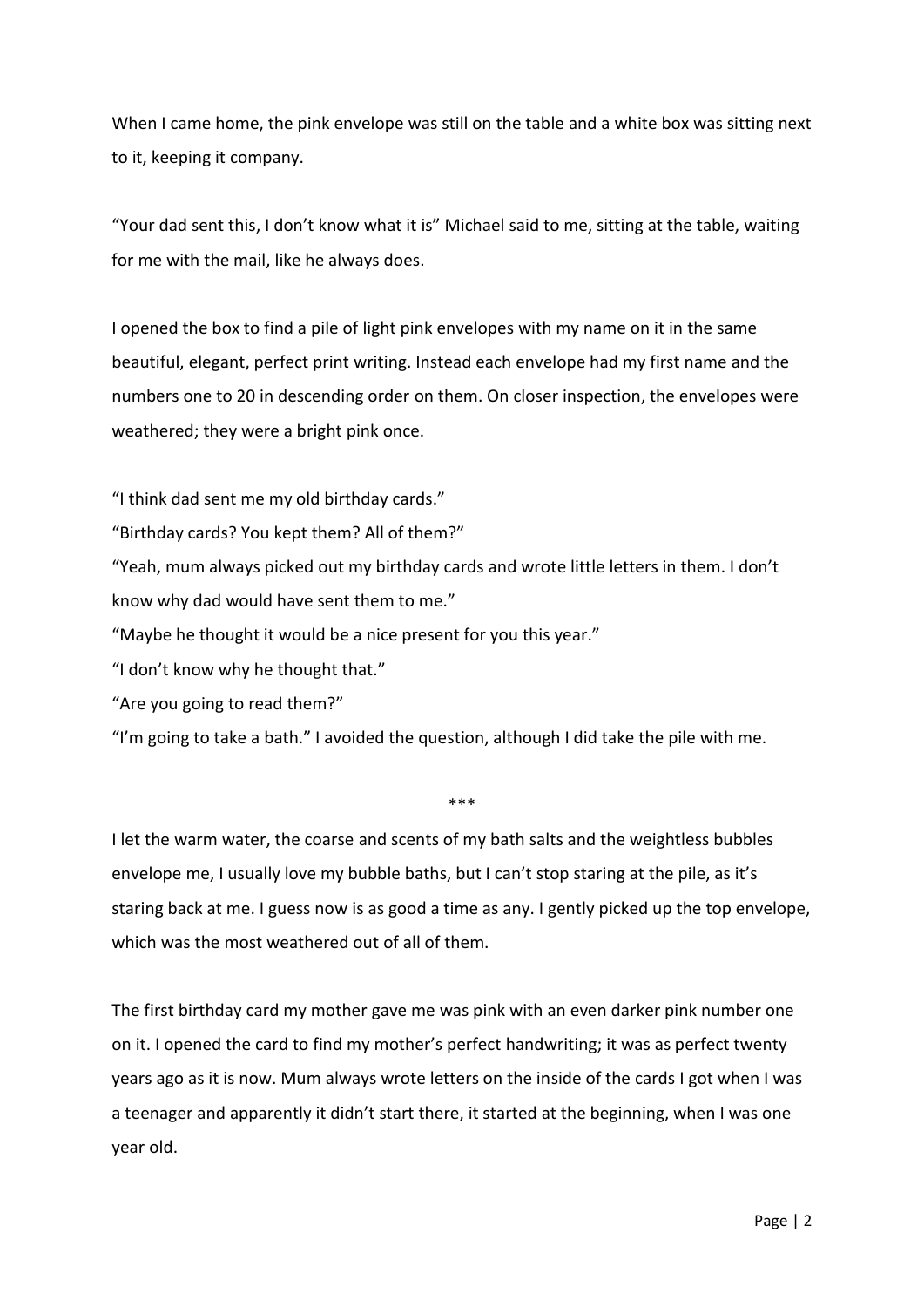When I came home, the pink envelope was still on the table and a white box was sitting next to it, keeping it company.

"Your dad sent this, I don't know what it is" Michael said to me, sitting at the table, waiting for me with the mail, like he always does.

I opened the box to find a pile of light pink envelopes with my name on it in the same beautiful, elegant, perfect print writing. Instead each envelope had my first name and the numbers one to 20 in descending order on them. On closer inspection, the envelopes were weathered; they were a bright pink once.

"I think dad sent me my old birthday cards."

"Birthday cards? You kept them? All of them?"

"Yeah, mum always picked out my birthday cards and wrote little letters in them. I don't know why dad would have sent them to me."

"Maybe he thought it would be a nice present for you this year."

"I don't know why he thought that."

"Are you going to read them?"

"I'm going to take a bath." I avoided the question, although I did take the pile with me.

I let the warm water, the coarse and scents of my bath salts and the weightless bubbles envelope me, I usually love my bubble baths, but I can't stop staring at the pile, as it's staring back at me. I guess now is as good a time as any. I gently picked up the top envelope, which was the most weathered out of all of them.

\*\*\*

The first birthday card my mother gave me was pink with an even darker pink number one on it. I opened the card to find my mother's perfect handwriting; it was as perfect twenty years ago as it is now. Mum always wrote letters on the inside of the cards I got when I was a teenager and apparently it didn't start there, it started at the beginning, when I was one year old.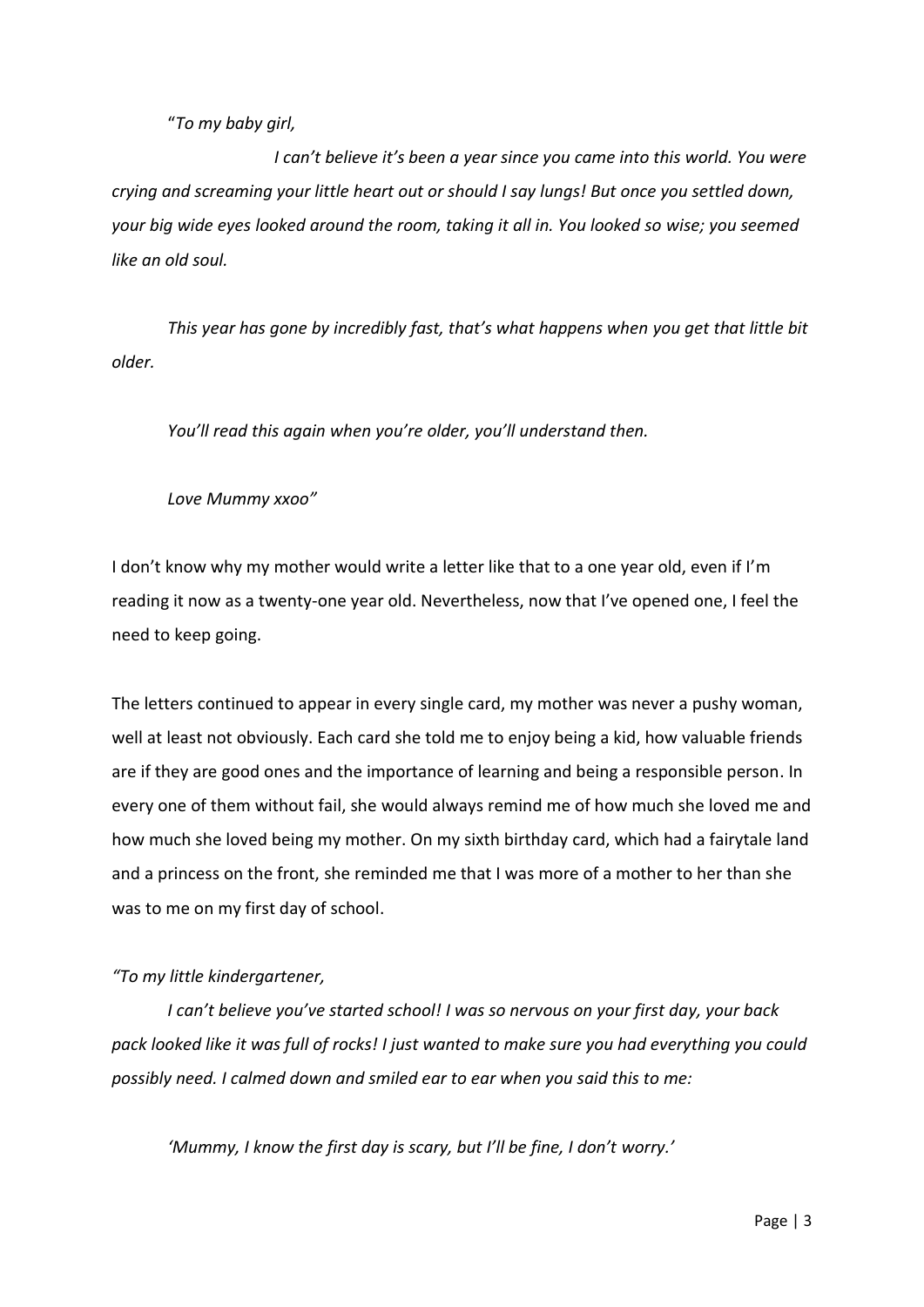"*To my baby girl,*

 *I can't believe it's been a year since you came into this world. You were crying and screaming your little heart out or should I say lungs! But once you settled down, your big wide eyes looked around the room, taking it all in. You looked so wise; you seemed like an old soul.*

*This year has gone by incredibly fast, that's what happens when you get that little bit older.*

*You'll read this again when you're older, you'll understand then.*

*Love Mummy xxoo"*

I don't know why my mother would write a letter like that to a one year old, even if I'm reading it now as a twenty-one year old. Nevertheless, now that I've opened one, I feel the need to keep going.

The letters continued to appear in every single card, my mother was never a pushy woman, well at least not obviously. Each card she told me to enjoy being a kid, how valuable friends are if they are good ones and the importance of learning and being a responsible person. In every one of them without fail, she would always remind me of how much she loved me and how much she loved being my mother. On my sixth birthday card, which had a fairytale land and a princess on the front, she reminded me that I was more of a mother to her than she was to me on my first day of school.

# *"To my little kindergartener,*

*I can't believe you've started school! I was so nervous on your first day, your back pack looked like it was full of rocks! I just wanted to make sure you had everything you could possibly need. I calmed down and smiled ear to ear when you said this to me:*

*'Mummy, I know the first day is scary, but I'll be fine, I don't worry.'*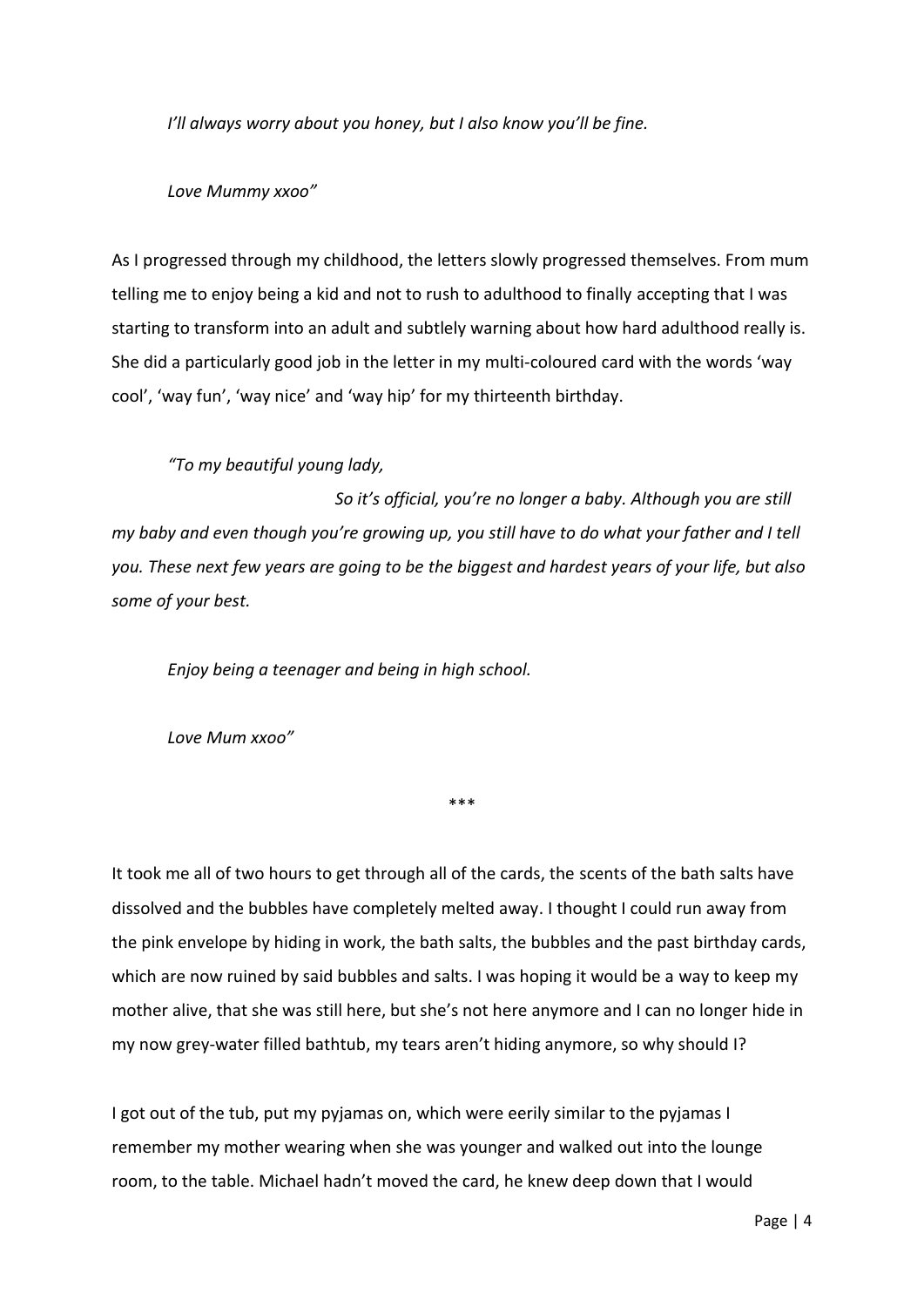*I'll always worry about you honey, but I also know you'll be fine.*

*Love Mummy xxoo"*

As I progressed through my childhood, the letters slowly progressed themselves. From mum telling me to enjoy being a kid and not to rush to adulthood to finally accepting that I was starting to transform into an adult and subtlely warning about how hard adulthood really is. She did a particularly good job in the letter in my multi-coloured card with the words 'way cool', 'way fun', 'way nice' and 'way hip' for my thirteenth birthday.

*"To my beautiful young lady,*

*So it's official, you're no longer a baby. Although you are still my baby and even though you're growing up, you still have to do what your father and I tell you. These next few years are going to be the biggest and hardest years of your life, but also some of your best.*

*Enjoy being a teenager and being in high school.*

*Love Mum xxoo"*

\*\*\*

It took me all of two hours to get through all of the cards, the scents of the bath salts have dissolved and the bubbles have completely melted away. I thought I could run away from the pink envelope by hiding in work, the bath salts, the bubbles and the past birthday cards, which are now ruined by said bubbles and salts. I was hoping it would be a way to keep my mother alive, that she was still here, but she's not here anymore and I can no longer hide in my now grey-water filled bathtub, my tears aren't hiding anymore, so why should I?

I got out of the tub, put my pyjamas on, which were eerily similar to the pyjamas I remember my mother wearing when she was younger and walked out into the lounge room, to the table. Michael hadn't moved the card, he knew deep down that I would